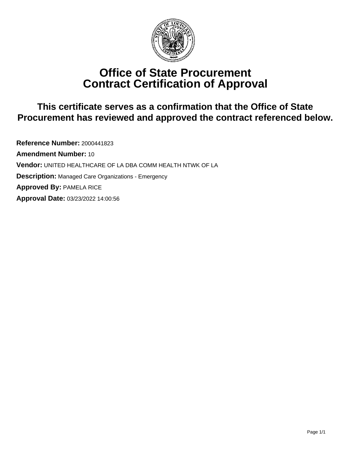

# **Office of State Procurement Contract Certification of Approval**

# **This certificate serves as a confirmation that the Office of State Procurement has reviewed and approved the contract referenced below.**

**Reference Number:** 2000441823 **Amendment Number:** 10 **Vendor:** UNITED HEALTHCARE OF LA DBA COMM HEALTH NTWK OF LA **Description:** Managed Care Organizations - Emergency **Approved By:** PAMELA RICE **Approval Date:** 03/23/2022 14:00:56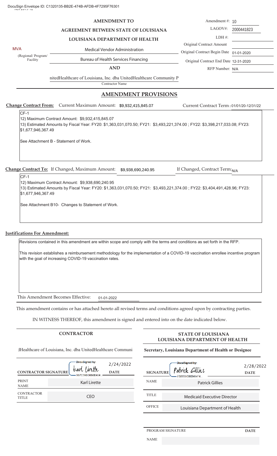### **AMENDMENT TO**

**AGREEMENT BETWEEN STATE OF LOUISIANA**

### **LOUISIANA DEPARTMENT OF HEALTH**

MVA Medical Vendor Administration

(Regional/ Program/ Facility

Bureau of Health Services Financing

**AND**

nitedHealthcare of Louisiana, Inc. dba UnitedHealthcare Community P

Contractor Name

### **AMENDMENT PROVISIONS**

Change Contract From: Current Maximum Amount: \$9,932,415,845.07

 $CF-1$ 

12) Maximum Contract Amount: \$9,932,415,845.07 13) Estimated Amounts by Fiscal Year: FY20: \$1,363,031,070.50; FY21: \$3,493,221,374.00 ; FY22: \$3,398,217,033.08; FY23: \$1,677,946,367.49

See Attachment B - Statement of Work.

**Change Contract To:** If Changed, Maximum Amount:  $$9,938,690,240.95$  If Changed, Contract Term:

If Changed, Contract Term: N/A

 $CF-1$ 

12) Maximum Contract Amount: \$9,938,690,240.95 13) Estimated Amounts by Fiscal Year: FY20: \$1,363,031,070.50; FY21: \$3,493,221,374.00 ; FY22: \$3,404,491,428.96; FY23: \$1,677,946,367.49

See Attachment B10- Changes to Statement of Work.

### **Justifications For Amendment:**

Revisions contained in this amendment are within scope and comply with the terms and conditions as set forth in the RFP.

This revision establishes a reimbursement methodology for the implementation of a COVID-19 vaccination enrollee incentive program with the goal of increasing COVID-19 vaccination rates.

This Amendment Becomes Effective: 01-01-2022

This amendment contains or has attached hereto all revised terms and conditions agreed upon by contracting parties.

IN WITNESS THEREOF, this amendment is signed and entered into on the date indicated below.

dHealthcare of Louisiana, Inc. dba UnitedHealthcare Communi

| <b>CONTRACTOR SIGNATURE</b>       | DocuSigned by:<br>karl lirette<br>$-0 B7 C39 D D6 B6 B404$ | 2/24/2022<br><b>DATE</b> |
|-----------------------------------|------------------------------------------------------------|--------------------------|
| <b>PRINT</b><br><b>NAME</b>       | Karl Lirette                                               |                          |
| <b>CONTRACTOR</b><br><b>TITLE</b> | CEO                                                        |                          |

## **CONTRACTOR STATE OF LOUISIANA LOUISIANA DEPARTMENT OF HEALTH**

### **Secretary, Louisiana Department of Health or Designee**

| uSigned by:<br>t lintte<br>C39DD6B6B404 | 2/24/2022<br><b>DATE</b> | <b>NAME</b>            | DocuSigned by:<br>2/28/2022<br>Patrick Gillies<br><b>SIGNATURE</b><br><b>DATE</b><br>7D2608CB02464F4 |  |
|-----------------------------------------|--------------------------|------------------------|------------------------------------------------------------------------------------------------------|--|
| Karl Lirette                            |                          | <b>Patrick Gillies</b> |                                                                                                      |  |
| CEO                                     |                          | <b>TITLE</b>           | <b>Medicaid Executive Director</b>                                                                   |  |
|                                         |                          | <b>OFFICE</b>          | Louisiana Department of Health                                                                       |  |

### PROGRAM SIGNATURE **DATE**

NAME

LAGOV#: Amendment #: 10

2000441823

Original Contract Amount LDH #:

Original Contract Begin Date 01-01-2020 Original Contract End Date 12-31-2020

Current Contract Term: 01/01/20-12/31/22

RFP Number: N/A